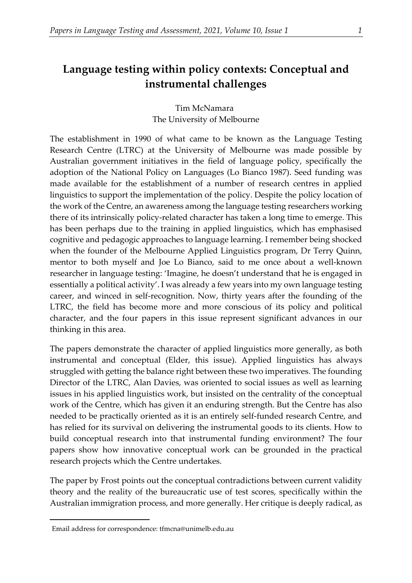## **Language testing within policy contexts: Conceptual and instrumental challenges**

Tim McNamara[1](#page-0-0) The University of Melbourne

The establishment in 1990 of what came to be known as the Language Testing Research Centre (LTRC) at the University of Melbourne was made possible by Australian government initiatives in the field of language policy, specifically the adoption of the National Policy on Languages (Lo Bianco 1987). Seed funding was made available for the establishment of a number of research centres in applied linguistics to support the implementation of the policy. Despite the policy location of the work of the Centre, an awareness among the language testing researchers working there of its intrinsically policy-related character has taken a long time to emerge. This has been perhaps due to the training in applied linguistics, which has emphasised cognitive and pedagogic approaches to language learning. I remember being shocked when the founder of the Melbourne Applied Linguistics program, Dr Terry Quinn, mentor to both myself and Joe Lo Bianco, said to me once about a well-known researcher in language testing: 'Imagine, he doesn't understand that he is engaged in essentially a political activity'. I was already a few years into my own language testing career, and winced in self-recognition. Now, thirty years after the founding of the LTRC, the field has become more and more conscious of its policy and political character, and the four papers in this issue represent significant advances in our thinking in this area.

The papers demonstrate the character of applied linguistics more generally, as both instrumental and conceptual (Elder, this issue). Applied linguistics has always struggled with getting the balance right between these two imperatives. The founding Director of the LTRC, Alan Davies, was oriented to social issues as well as learning issues in his applied linguistics work, but insisted on the centrality of the conceptual work of the Centre, which has given it an enduring strength. But the Centre has also needed to be practically oriented as it is an entirely self-funded research Centre, and has relied for its survival on delivering the instrumental goods to its clients. How to build conceptual research into that instrumental funding environment? The four papers show how innovative conceptual work can be grounded in the practical research projects which the Centre undertakes.

The paper by Frost points out the conceptual contradictions between current validity theory and the reality of the bureaucratic use of test scores, specifically within the Australian immigration process, and more generally. Her critique is deeply radical, as

<span id="page-0-0"></span><sup>1</sup>Email address for correspondence: tfmcna@unimelb.edu.au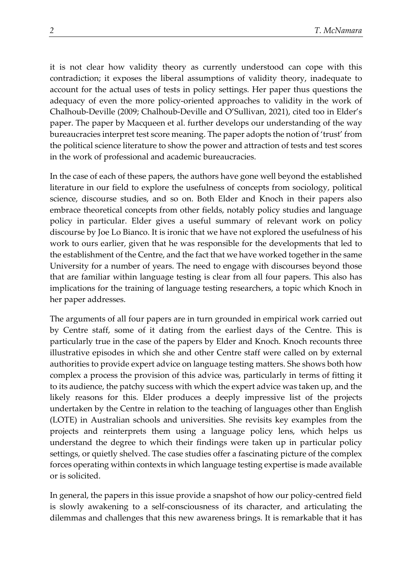it is not clear how validity theory as currently understood can cope with this contradiction; it exposes the liberal assumptions of validity theory, inadequate to account for the actual uses of tests in policy settings. Her paper thus questions the adequacy of even the more policy-oriented approaches to validity in the work of Chalhoub-Deville (2009; Chalhoub-Deville and O'Sullivan, 2021), cited too in Elder's paper. The paper by Macqueen et al. further develops our understanding of the way bureaucracies interpret test score meaning. The paper adopts the notion of 'trust' from the political science literature to show the power and attraction of tests and test scores in the work of professional and academic bureaucracies.

In the case of each of these papers, the authors have gone well beyond the established literature in our field to explore the usefulness of concepts from sociology, political science, discourse studies, and so on. Both Elder and Knoch in their papers also embrace theoretical concepts from other fields, notably policy studies and language policy in particular. Elder gives a useful summary of relevant work on policy discourse by Joe Lo Bianco. It is ironic that we have not explored the usefulness of his work to ours earlier, given that he was responsible for the developments that led to the establishment of the Centre, and the fact that we have worked together in the same University for a number of years. The need to engage with discourses beyond those that are familiar within language testing is clear from all four papers. This also has implications for the training of language testing researchers, a topic which Knoch in her paper addresses.

The arguments of all four papers are in turn grounded in empirical work carried out by Centre staff, some of it dating from the earliest days of the Centre. This is particularly true in the case of the papers by Elder and Knoch. Knoch recounts three illustrative episodes in which she and other Centre staff were called on by external authorities to provide expert advice on language testing matters. She shows both how complex a process the provision of this advice was, particularly in terms of fitting it to its audience, the patchy success with which the expert advice was taken up, and the likely reasons for this. Elder produces a deeply impressive list of the projects undertaken by the Centre in relation to the teaching of languages other than English (LOTE) in Australian schools and universities. She revisits key examples from the projects and reinterprets them using a language policy lens, which helps us understand the degree to which their findings were taken up in particular policy settings, or quietly shelved. The case studies offer a fascinating picture of the complex forces operating within contexts in which language testing expertise is made available or is solicited.

In general, the papers in this issue provide a snapshot of how our policy-centred field is slowly awakening to a self-consciousness of its character, and articulating the dilemmas and challenges that this new awareness brings. It is remarkable that it has